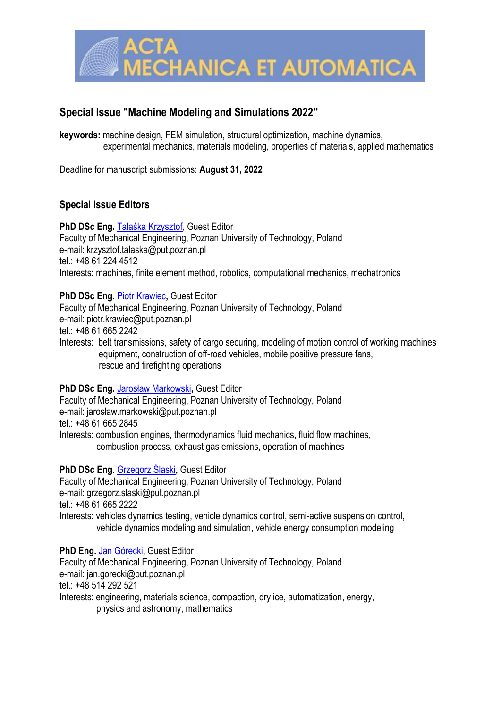

# **Special Issue "Machine Modeling and Simulations 2022"**

**keywords:** machine design, FEM simulation, structural optimization, machine dynamics, experimental mechanics, materials modeling, properties of materials, applied mathematics

Deadline for manuscript submissions: **August 31, 2022**

## **Special Issue Editors**

**PhD DSc Eng.** [Talaśka Krzysztof](https://www.scopus.com/authid/detail.uri?authorId=54384146500), Guest Editor Faculty of Mechanical Engineering, Poznan University of Technology, Poland e-mail: krzysztof.talaska@put.poznan.pl tel.: +48 61 224 4512 Interests: machines, finite element method, robotics, computational mechanics, mechatronics

### **PhD DSc Eng.** [Piotr Krawiec](https://www.scopus.com/authid/detail.uri?authorId=57035200200)**,** Guest Editor

Faculty of Mechanical Engineering, Poznan University of Technology, Poland e-mail: piotr.krawiec@put.poznan.pl

tel.: +48 61 665 2242

Interests: belt transmissions, safety of cargo securing, modeling of motion control of working machines equipment, construction of off-road vehicles, mobile positive pressure fans, rescue and firefighting operations

### **PhD DSc Eng.** [Jarosław Markowski](https://www.scopus.com/authid/detail.uri?authorId=41561816900)**,** Guest Editor

Faculty of Mechanical Engineering, Poznan University of Technology, Poland e-mail: jarosław.markowski@put.poznan.pl tel.: +48 61 665 2845 Interests: combustion engines, thermodynamics fluid mechanics, fluid flow machines, combustion process, exhaust gas emissions, operation of machines

### **PhD DSc Eng.** [Grzegorz Ślaski](https://www.scopus.com/authid/detail.uri?authorId=55195707100)**,** Guest Editor

Faculty of Mechanical Engineering, Poznan University of Technology, Poland e-mail: grzegorz.slaski@put.poznan.pl tel.: +48 61 665 2222 Interests: vehicles dynamics testing, vehicle dynamics control, semi-active suspension control, vehicle dynamics modeling and simulation, vehicle energy consumption modeling

**PhD Eng.** [Jan Górecki](https://www.scopus.com/authid/detail.uri?authorId=57189463009)**,** Guest Editor Faculty of Mechanical Engineering, Poznan University of Technology, Poland e-mail: jan.gorecki@put.poznan.pl tel:  $+48,514,292,521$ Interests: engineering, materials science, compaction, dry ice, automatization, energy, physics and astronomy, mathematics